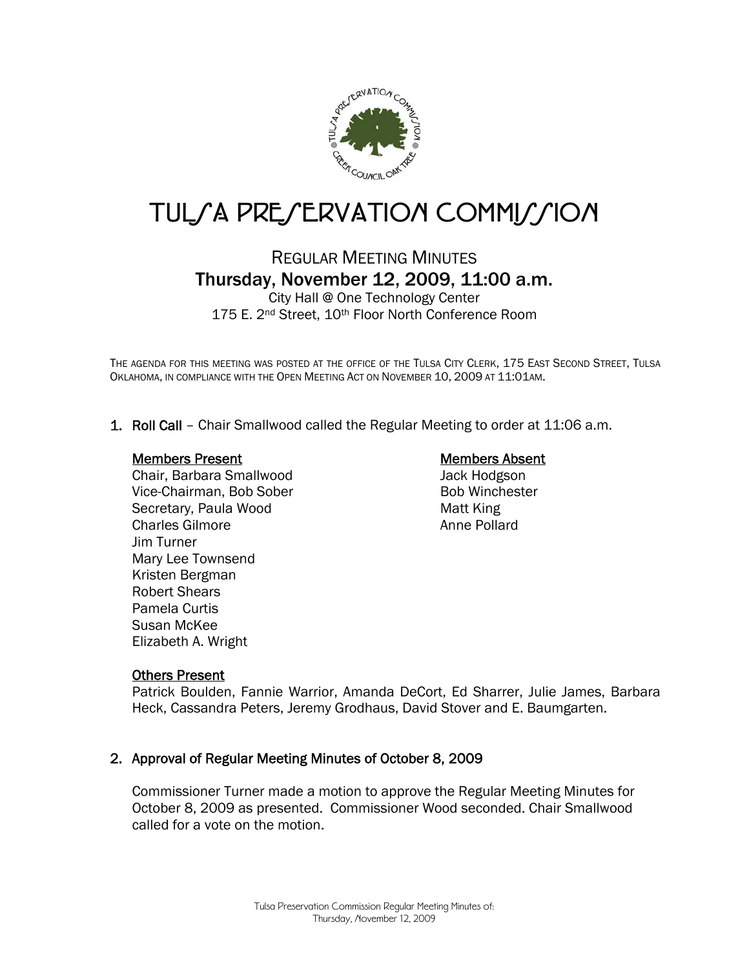

# TUL/A PRE/ERVATION COMMI//ION

## REGULAR MEETING MINUTES Thursday, November 12, 2009, 11:00 a.m.

City Hall @ One Technology Center 175 E. 2<sup>nd</sup> Street, 10<sup>th</sup> Floor North Conference Room

THE AGENDA FOR THIS MEETING WAS POSTED AT THE OFFICE OF THE TULSA CITY CLERK, 175 EAST SECOND STREET, TULSA OKLAHOMA, IN COMPLIANCE WITH THE OPEN MEETING ACT ON NOVEMBER 10, 2009 AT 11:01AM.

1. Roll Call – Chair Smallwood called the Regular Meeting to order at 11:06 a.m.

#### Members Present

Chair, Barbara Smallwood Vice-Chairman, Bob Sober Secretary, Paula Wood Charles Gilmore Jim Turner Mary Lee Townsend Kristen Bergman Robert Shears Pamela Curtis Susan McKee Elizabeth A. Wright

## Members Absent

Jack Hodgson Bob Winchester Matt King Anne Pollard

## Others Present

Patrick Boulden, Fannie Warrior, Amanda DeCort, Ed Sharrer, Julie James, Barbara Heck, Cassandra Peters, Jeremy Grodhaus, David Stover and E. Baumgarten.

## 2. Approval of Regular Meeting Minutes of October 8, 2009

Commissioner Turner made a motion to approve the Regular Meeting Minutes for October 8, 2009 as presented. Commissioner Wood seconded. Chair Smallwood called for a vote on the motion.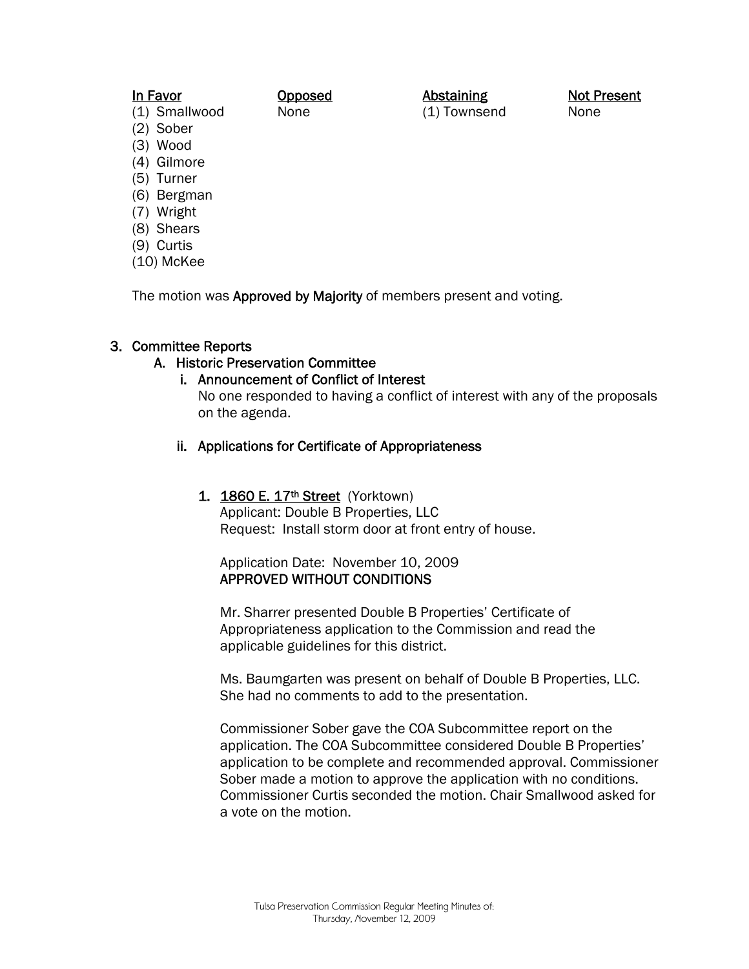## In Favor

#### Opposed None

(1) Smallwood

(2) Sober

- (3) Wood
- (4) Gilmore
- (5) Turner
- (6) Bergman
- (7) Wright
- (8) Shears
- (9) Curtis
- (10) McKee

The motion was Approved by Majority of members present and voting.

## 3. Committee Reports

## A. Historic Preservation Committee

## i. Announcement of Conflict of Interest

No one responded to having a conflict of interest with any of the proposals on the agenda.

Abstaining (1) Townsend

## ii. Applications for Certificate of Appropriateness

## 1. 1860 E. 17<sup>th</sup> Street (Yorktown)

Applicant: Double B Properties, LLC Request: Install storm door at front entry of house.

## Application Date: November 10, 2009 APPROVED WITHOUT CONDITIONS

Mr. Sharrer presented Double B Properties' Certificate of Appropriateness application to the Commission and read the applicable guidelines for this district.

Ms. Baumgarten was present on behalf of Double B Properties, LLC. She had no comments to add to the presentation.

Commissioner Sober gave the COA Subcommittee report on the application. The COA Subcommittee considered Double B Properties' application to be complete and recommended approval. Commissioner Sober made a motion to approve the application with no conditions. Commissioner Curtis seconded the motion. Chair Smallwood asked for a vote on the motion.

Not Present None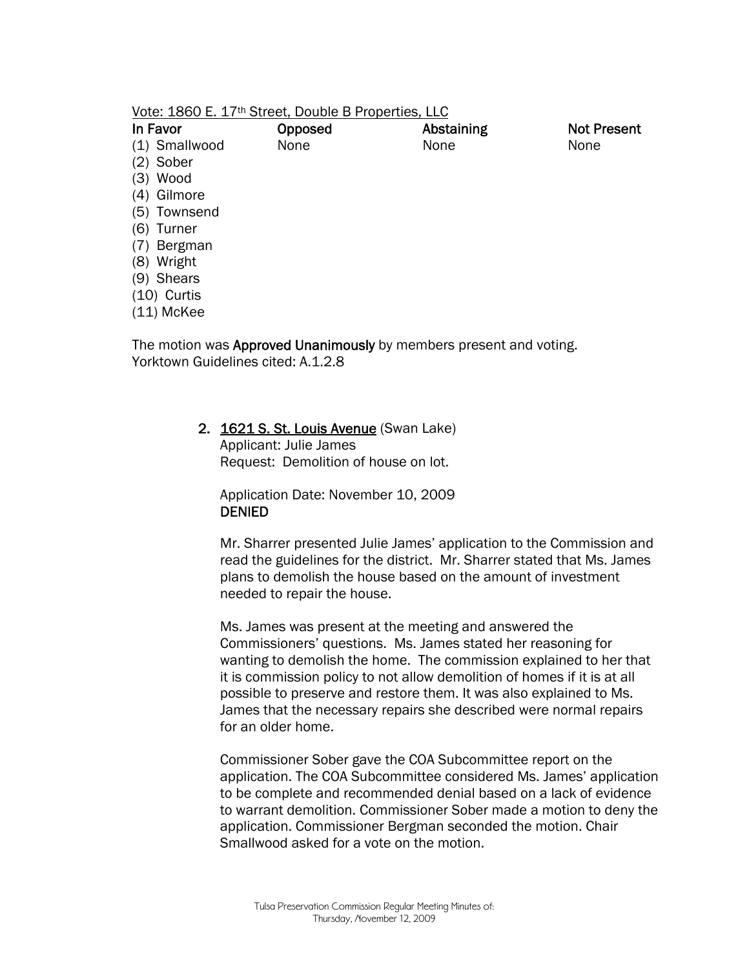| Vote: 1860 E. 17 <sup>th</sup> Street, Double B Properties, LLC |
|-----------------------------------------------------------------|
|-----------------------------------------------------------------|

| In Favor       | Opposed | Abstaining | <b>Not Present</b> |
|----------------|---------|------------|--------------------|
| (1) Smallwood  | None    | None       | None               |
| (2) Sober      |         |            |                    |
| (3) Wood       |         |            |                    |
| (4) Gilmore    |         |            |                    |
| (5) Townsend   |         |            |                    |
| (6)<br>Turner  |         |            |                    |
| (7)<br>Bergman |         |            |                    |
| (8) Wright     |         |            |                    |
| (9) Shears     |         |            |                    |
| $(10)$ Curtis  |         |            |                    |
| $(11)$ McKee   |         |            |                    |

The motion was **Approved Unanimously** by members present and voting. Yorktown Guidelines cited: A.1.2.8

#### 2. 1621 S. St. Louis Avenue (Swan Lake)

Applicant: Julie James Request: Demolition of house on lot.

Application Date: November 10, 2009 DENIED

Mr. Sharrer presented Julie James' application to the Commission and read the guidelines for the district. Mr. Sharrer stated that Ms. James plans to demolish the house based on the amount of investment needed to repair the house.

Ms. James was present at the meeting and answered the Commissioners' questions. Ms. James stated her reasoning for wanting to demolish the home. The commission explained to her that it is commission policy to not allow demolition of homes if it is at all possible to preserve and restore them. It was also explained to Ms. James that the necessary repairs she described were normal repairs for an older home.

Commissioner Sober gave the COA Subcommittee report on the application. The COA Subcommittee considered Ms. James' application to be complete and recommended denial based on a lack of evidence to warrant demolition. Commissioner Sober made a motion to deny the application. Commissioner Bergman seconded the motion. Chair Smallwood asked for a vote on the motion.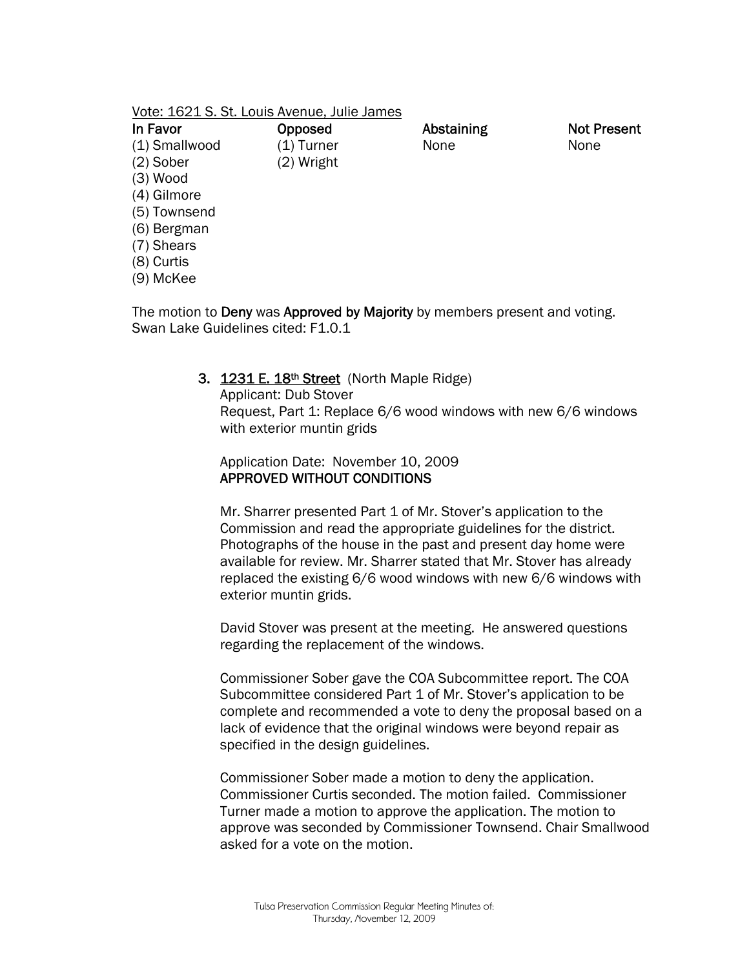| Vote: 1621 S. St. Louis Avenue, Julie James |
|---------------------------------------------|
|---------------------------------------------|

| In Favor      | Opposed    | Abstaining | <b>Not Present</b> |
|---------------|------------|------------|--------------------|
| (1) Smallwood | (1) Turner | None       | None               |
| $(2)$ Sober   | (2) Wright |            |                    |
| $(3)$ Wood    |            |            |                    |
| (4) Gilmore   |            |            |                    |
| (5) Townsend  |            |            |                    |
| (6) Bergman   |            |            |                    |
| (7) Shears    |            |            |                    |
| (8) Curtis    |            |            |                    |
| (9) McKee     |            |            |                    |
|               |            |            |                    |

The motion to **Deny** was **Approved by Majority** by members present and voting. Swan Lake Guidelines cited: F1.0.1

#### 3. 1231 E. 18<sup>th</sup> Street (North Maple Ridge)

Applicant: Dub Stover Request, Part 1: Replace 6/6 wood windows with new 6/6 windows with exterior muntin grids

Application Date: November 10, 2009 APPROVED WITHOUT CONDITIONS

Mr. Sharrer presented Part 1 of Mr. Stover's application to the Commission and read the appropriate guidelines for the district. Photographs of the house in the past and present day home were available for review. Mr. Sharrer stated that Mr. Stover has already replaced the existing 6/6 wood windows with new 6/6 windows with exterior muntin grids.

David Stover was present at the meeting. He answered questions regarding the replacement of the windows.

Commissioner Sober gave the COA Subcommittee report. The COA Subcommittee considered Part 1 of Mr. Stover's application to be complete and recommended a vote to deny the proposal based on a lack of evidence that the original windows were beyond repair as specified in the design guidelines.

Commissioner Sober made a motion to deny the application. Commissioner Curtis seconded. The motion failed. Commissioner Turner made a motion to approve the application. The motion to approve was seconded by Commissioner Townsend. Chair Smallwood asked for a vote on the motion.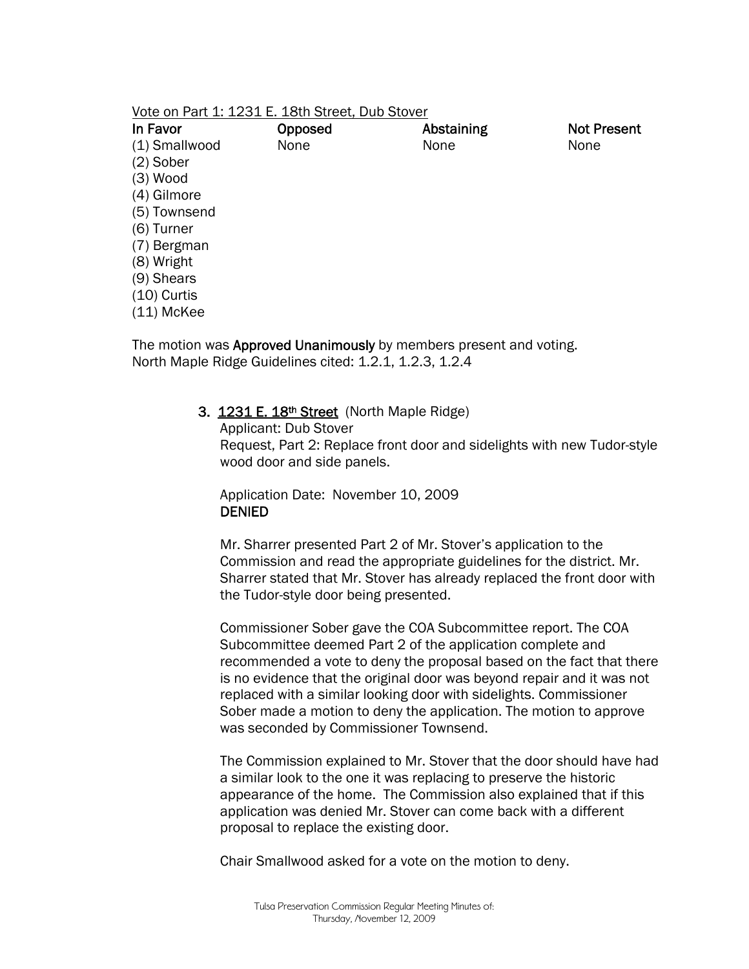#### Vote on Part 1: 1231 E. 18th Street, Dub Stover

| In Favor      | Opposed | Abstaining | <b>Not Present</b> |
|---------------|---------|------------|--------------------|
| (1) Smallwood | None    | None       | None               |
| $(2)$ Sober   |         |            |                    |
| $(3)$ Wood    |         |            |                    |
| (4) Gilmore   |         |            |                    |
| (5) Townsend  |         |            |                    |
| $(6)$ Turner  |         |            |                    |
| (7) Bergman   |         |            |                    |
| (8) Wright    |         |            |                    |
| $(9)$ Shears  |         |            |                    |
| $(10)$ Curtis |         |            |                    |
| $(11)$ McKee  |         |            |                    |

The motion was **Approved Unanimously** by members present and voting. North Maple Ridge Guidelines cited: 1.2.1, 1.2.3, 1.2.4

#### 3. 1231 E. 18th Street (North Maple Ridge)

Applicant: Dub Stover Request, Part 2: Replace front door and sidelights with new Tudor-style wood door and side panels.

Application Date: November 10, 2009 DENIED

Mr. Sharrer presented Part 2 of Mr. Stover's application to the Commission and read the appropriate guidelines for the district. Mr. Sharrer stated that Mr. Stover has already replaced the front door with the Tudor-style door being presented.

Commissioner Sober gave the COA Subcommittee report. The COA Subcommittee deemed Part 2 of the application complete and recommended a vote to deny the proposal based on the fact that there is no evidence that the original door was beyond repair and it was not replaced with a similar looking door with sidelights. Commissioner Sober made a motion to deny the application. The motion to approve was seconded by Commissioner Townsend.

The Commission explained to Mr. Stover that the door should have had a similar look to the one it was replacing to preserve the historic appearance of the home. The Commission also explained that if this application was denied Mr. Stover can come back with a different proposal to replace the existing door.

Chair Smallwood asked for a vote on the motion to deny.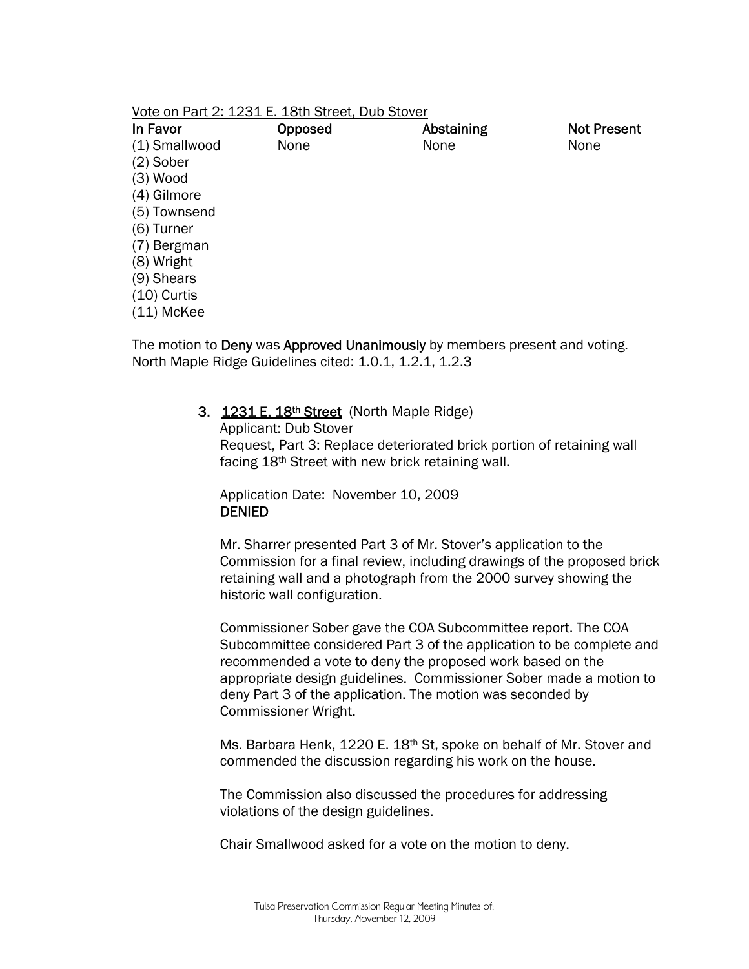#### Vote on Part 2: 1231 E. 18th Street, Dub Stover

| In Favor      | Opposed | Abstaining | <b>Not Present</b> |
|---------------|---------|------------|--------------------|
| (1) Smallwood | None    | None       | None               |
| $(2)$ Sober   |         |            |                    |
| $(3)$ Wood    |         |            |                    |
| (4) Gilmore   |         |            |                    |
| (5) Townsend  |         |            |                    |
| $(6)$ Turner  |         |            |                    |
| (7) Bergman   |         |            |                    |
| (8) Wright    |         |            |                    |
| $(9)$ Shears  |         |            |                    |
| $(10)$ Curtis |         |            |                    |
| $(11)$ McKee  |         |            |                    |

The motion to **Deny** was **Approved Unanimously** by members present and voting. North Maple Ridge Guidelines cited: 1.0.1, 1.2.1, 1.2.3

#### 3. 1231 E. 18<sup>th</sup> Street (North Maple Ridge)

Applicant: Dub Stover Request, Part 3: Replace deteriorated brick portion of retaining wall facing 18th Street with new brick retaining wall.

Application Date: November 10, 2009 DENIED

Mr. Sharrer presented Part 3 of Mr. Stover's application to the Commission for a final review, including drawings of the proposed brick retaining wall and a photograph from the 2000 survey showing the historic wall configuration.

Commissioner Sober gave the COA Subcommittee report. The COA Subcommittee considered Part 3 of the application to be complete and recommended a vote to deny the proposed work based on the appropriate design guidelines. Commissioner Sober made a motion to deny Part 3 of the application. The motion was seconded by Commissioner Wright.

Ms. Barbara Henk, 1220 E. 18<sup>th</sup> St, spoke on behalf of Mr. Stover and commended the discussion regarding his work on the house.

The Commission also discussed the procedures for addressing violations of the design guidelines.

Chair Smallwood asked for a vote on the motion to deny.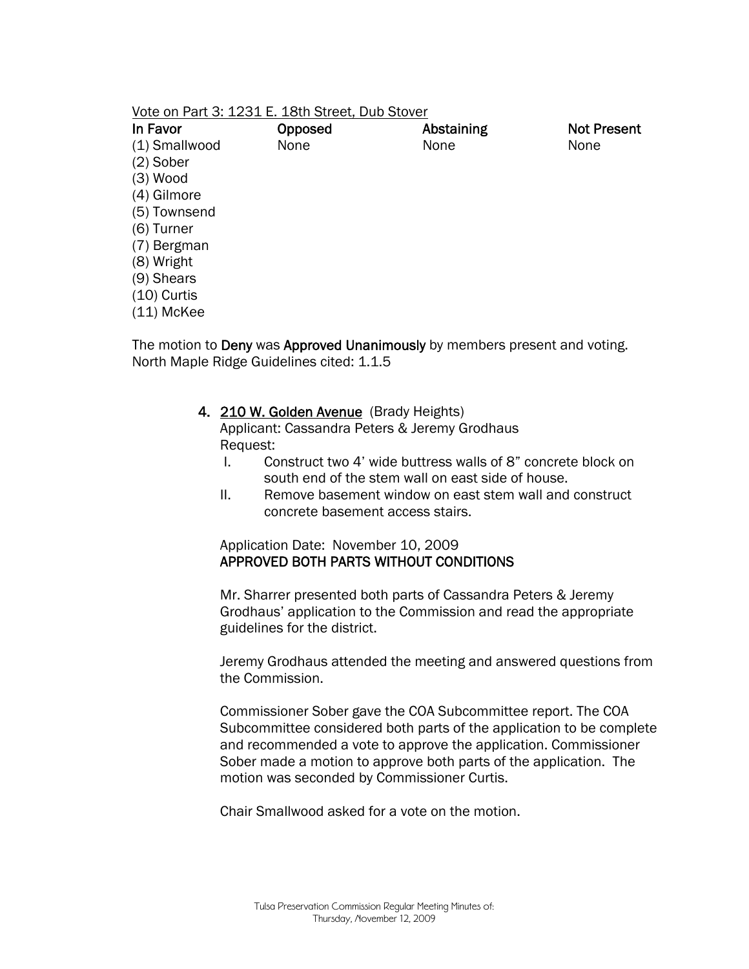#### Vote on Part 3: 1231 E. 18th Street, Dub Stover

| In Favor      | Opposed | Abstaining | <b>Not Present</b> |
|---------------|---------|------------|--------------------|
| (1) Smallwood | None    | None       | None               |
| $(2)$ Sober   |         |            |                    |
| $(3)$ Wood    |         |            |                    |
| (4) Gilmore   |         |            |                    |
| (5) Townsend  |         |            |                    |
| $(6)$ Turner  |         |            |                    |
| (7) Bergman   |         |            |                    |
| (8) Wright    |         |            |                    |
| (9) Shears    |         |            |                    |
| $(10)$ Curtis |         |            |                    |
| $(11)$ McKee  |         |            |                    |

The motion to Deny was Approved Unanimously by members present and voting. North Maple Ridge Guidelines cited: 1.1.5

#### 4. 210 W. Golden Avenue (Brady Heights)

Applicant: Cassandra Peters & Jeremy Grodhaus Request:

- I. Construct two 4' wide buttress walls of 8" concrete block on south end of the stem wall on east side of house.
- II. Remove basement window on east stem wall and construct concrete basement access stairs.

## Application Date: November 10, 2009 APPROVED BOTH PARTS WITHOUT CONDITIONS

Mr. Sharrer presented both parts of Cassandra Peters & Jeremy Grodhaus' application to the Commission and read the appropriate guidelines for the district.

Jeremy Grodhaus attended the meeting and answered questions from the Commission.

Commissioner Sober gave the COA Subcommittee report. The COA Subcommittee considered both parts of the application to be complete and recommended a vote to approve the application. Commissioner Sober made a motion to approve both parts of the application. The motion was seconded by Commissioner Curtis.

Chair Smallwood asked for a vote on the motion.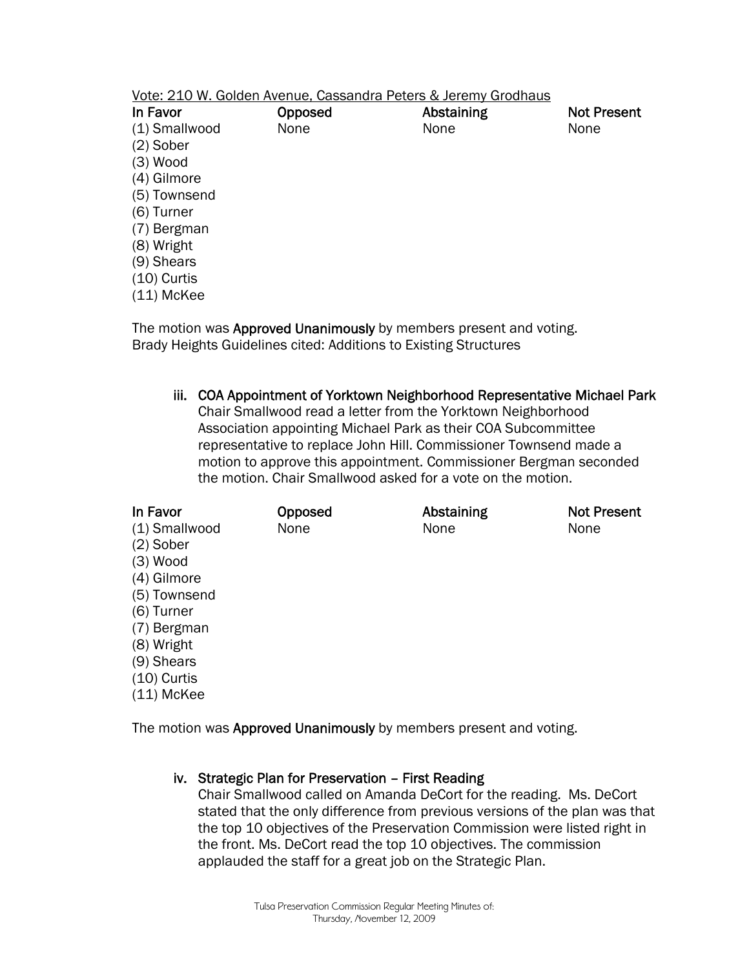|               | Vote: 210 W. Golden Avenue, Cassandra Peters & Jeremy Grodhaus |            |                    |
|---------------|----------------------------------------------------------------|------------|--------------------|
| In Favor      | Opposed                                                        | Abstaining | <b>Not Present</b> |
| (1) Smallwood | None                                                           | None       | None               |
| $(2)$ Sober   |                                                                |            |                    |
| $(3)$ Wood    |                                                                |            |                    |
| (4) Gilmore   |                                                                |            |                    |
| (5) Townsend  |                                                                |            |                    |
| (6) Turner    |                                                                |            |                    |
| (7) Bergman   |                                                                |            |                    |
| (8) Wright    |                                                                |            |                    |
| (9) Shears    |                                                                |            |                    |
| $(10)$ Curtis |                                                                |            |                    |
| $(11)$ McKee  |                                                                |            |                    |

The motion was **Approved Unanimously** by members present and voting. Brady Heights Guidelines cited: Additions to Existing Structures

iii. COA Appointment of Yorktown Neighborhood Representative Michael Park Chair Smallwood read a letter from the Yorktown Neighborhood Association appointing Michael Park as their COA Subcommittee representative to replace John Hill. Commissioner Townsend made a motion to approve this appointment. Commissioner Bergman seconded the motion. Chair Smallwood asked for a vote on the motion.

| In Favor<br>(1) Smallwood<br>$(2)$ Sober<br>$(3)$ Wood<br>(4) Gilmore<br>(5) Townsend<br>(6) Turner<br>(7) Bergman<br>(8) Wright | Opposed<br>None | Abstaining<br>None | <b>Not Present</b><br>None |
|----------------------------------------------------------------------------------------------------------------------------------|-----------------|--------------------|----------------------------|
| (9) Shears<br>$(10)$ Curtis<br>$(11)$ McKee                                                                                      |                 |                    |                            |

The motion was Approved Unanimously by members present and voting.

#### iv. Strategic Plan for Preservation – First Reading

Chair Smallwood called on Amanda DeCort for the reading. Ms. DeCort stated that the only difference from previous versions of the plan was that the top 10 objectives of the Preservation Commission were listed right in the front. Ms. DeCort read the top 10 objectives. The commission applauded the staff for a great job on the Strategic Plan.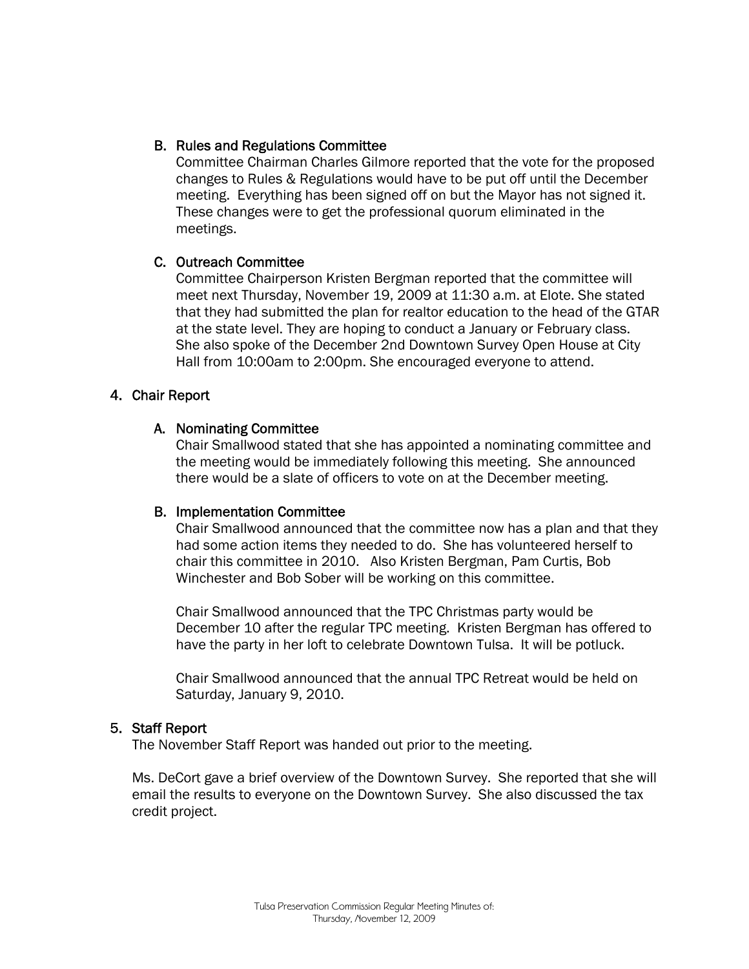## B. Rules and Regulations Committee

Committee Chairman Charles Gilmore reported that the vote for the proposed changes to Rules & Regulations would have to be put off until the December meeting. Everything has been signed off on but the Mayor has not signed it. These changes were to get the professional quorum eliminated in the meetings.

## C. Outreach Committee

Committee Chairperson Kristen Bergman reported that the committee will meet next Thursday, November 19, 2009 at 11:30 a.m. at Elote. She stated that they had submitted the plan for realtor education to the head of the GTAR at the state level. They are hoping to conduct a January or February class. She also spoke of the December 2nd Downtown Survey Open House at City Hall from 10:00am to 2:00pm. She encouraged everyone to attend.

## 4. Chair Report

## A. Nominating Committee

Chair Smallwood stated that she has appointed a nominating committee and the meeting would be immediately following this meeting. She announced there would be a slate of officers to vote on at the December meeting.

## B. Implementation Committee

Chair Smallwood announced that the committee now has a plan and that they had some action items they needed to do. She has volunteered herself to chair this committee in 2010. Also Kristen Bergman, Pam Curtis, Bob Winchester and Bob Sober will be working on this committee.

Chair Smallwood announced that the TPC Christmas party would be December 10 after the regular TPC meeting. Kristen Bergman has offered to have the party in her loft to celebrate Downtown Tulsa. It will be potluck.

Chair Smallwood announced that the annual TPC Retreat would be held on Saturday, January 9, 2010.

## 5. Staff Report

The November Staff Report was handed out prior to the meeting.

Ms. DeCort gave a brief overview of the Downtown Survey. She reported that she will email the results to everyone on the Downtown Survey. She also discussed the tax credit project.